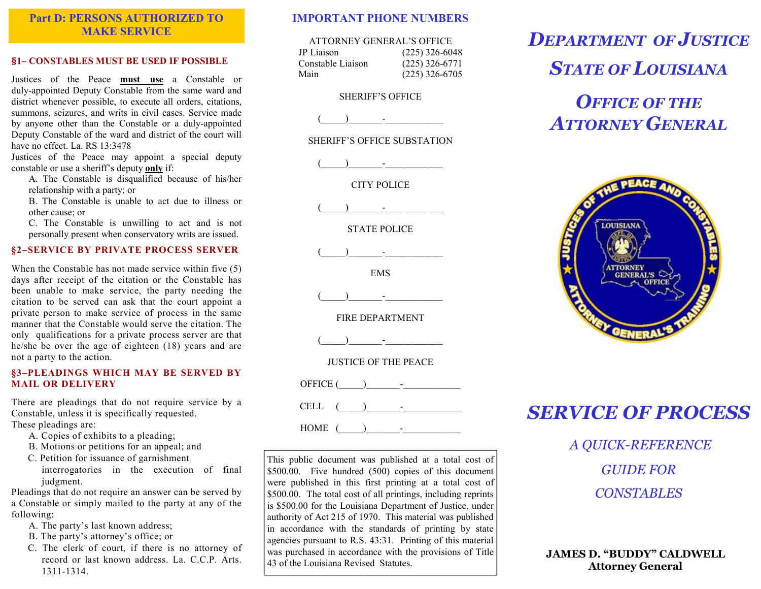## Part D: PERSONS AUTHORIZED TO MAKE SERVICE

#### §1– CONSTABLES MUST BE USED IF POSSIBLE

Justices of the Peace must use a Constable or duly-appointed Deputy Constable from the same ward and district whenever possible, to execute all orders, citations, summons, seizures, and writs in civil cases. Service made by anyone other than the Constable or a duly-appointed Deputy Constable of the ward and district of the court will have no effect. La. RS 13:3478

 Justices of the Peace may appoint a special deputy constable or use a sheriff's deputy only if:

 A. The Constable is disqualified because of his/her relationship with a party; or

 B. The Constable is unable to act due to illness or other cause; or

 C. The Constable is unwilling to act and is not personally present when conservatory writs are issued.

#### §2–SERVICE BY PRIVATE PROCESS SERVER

When the Constable has not made service within five (5) days after receipt of the citation or the Constable has been unable to make service, the party needing the citation to be served can ask that the court appoint a private person to make service of process in the same manner that the Constable would serve the citation. The only qualifications for a private process server are that he/she be over the age of eighteen (18) years and are not a party to the action.

#### §3–PLEADINGS WHICH MAY BE SERVED BY MAIL OR DELIVERY

There are pleadings that do not require service by a Constable, unless it is specifically requested. These pleadings are:

- A. Copies of exhibits to a pleading;
- B. Motions or petitions for an appeal; and

C. Petition for issuance of garnishment interrogatories in the execution of final judgment.

 Pleadings that do not require an answer can be served by a Constable or simply mailed to the party at any of the following:

- A. The party's last known address;
- B. The party's attorney's office; or
- C. The clerk of court, if there is no attorney of record or last known address. La. C.C.P. Arts. 1311-1314.

## IMPORTANT PHONE NUMBERS

| ATTORNEY GENERAL'S OFFICE |                  |
|---------------------------|------------------|
| JP Liaison                | $(225)$ 326-6048 |
| Constable Liaison         | $(225)$ 326-6771 |
| Main                      | $(225)$ 326-6705 |

### SHERIFF'S OFFICE

 $($ 

SHERIFF'S OFFICE SUBSTATION

 $\lambda$  and  $\lambda$  and  $\lambda$ 

CITY POLICE

 $(\mathcal{L}_\mathrm{max})_{\mathcal{L}_\mathrm{max}} = (\mathcal{L}_\mathrm{max})_{\mathcal{L}_\mathrm{max}}$ 

STATE POLICE

 $(\mathcal{L}_\mathrm{max})_{\mathcal{L}_\mathrm{max}}$  and  $(\mathcal{L}_\mathrm{max})_{\mathcal{L}_\mathrm{max}}$ 

EMS

 $(\mathcal{L}_\mathrm{max})_{\mathcal{L}_\mathrm{max}}$  and  $(\mathcal{L}_\mathrm{max})_{\mathcal{L}_\mathrm{max}}$ 

FIRE DEPARTMENT

 $(\mathcal{L}_\mathcal{L})_{\mathcal{L}_\mathcal{L}} = (\mathcal{L}_\mathcal{L})_{\mathcal{L}_\mathcal{L}}$ 

JUSTICE OF THE PEACE

OFFICE (\_\_\_\_\_)\_\_\_\_\_\_\_-\_\_\_\_\_\_\_\_\_\_\_\_

CELL  $($   $)$   $-$ 

 $HOME$  (

This public document was published at a total cost of \$500.00. Five hundred (500) copies of this document were published in this first printing at a total cost of \$500.00. The total cost of all printings, including reprints is \$500.00 for the Louisiana Department of Justice, under authority of Act 215 of 1970. This material was published in accordance with the standards of printing by state agencies pursuant to R.S. 43:31. Printing of this material was purchased in accordance with the provisions of Title 43 of the Louisiana Revised Statutes.

DEPARTMENT OF JUSTICE

STATE OF LOUISIANA

# **OFFICE OF THE** ATTORNEY GENERAL



## SERVICE OF PROCESS

A QUICK-REFERENCE GUIDE FOR **CONSTABLES** 

JAMES D. "BUDDY" CALDWELL Attorney General